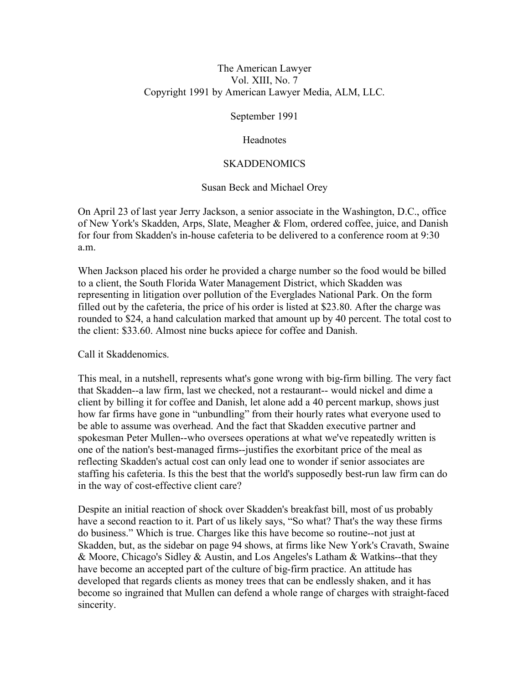#### The American Lawyer Vol. XIII, No. 7 Copyright 1991 by American Lawyer Media, ALM, LLC.

September 1991

#### **Headnotes**

#### **SKADDENOMICS**

### Susan Beck and Michael Orey

On April 23 of last year Jerry Jackson, a senior associate in the Washington, D.C., office of New York's Skadden, Arps, Slate, Meagher & Flom, ordered coffee, juice, and Danish for four from Skadden's in-house cafeteria to be delivered to a conference room at 9:30 a.m.

When Jackson placed his order he provided a charge number so the food would be billed to a client, the South Florida Water Management District, which Skadden was representing in litigation over pollution of the Everglades National Park. On the form filled out by the cafeteria, the price of his order is listed at \$23.80. After the charge was rounded to \$24, a hand calculation marked that amount up by 40 percent. The total cost to the client: \$33.60. Almost nine bucks apiece for coffee and Danish.

Call it Skaddenomics.

This meal, in a nutshell, represents what's gone wrong with big-firm billing. The very fact that Skadden--a law firm, last we checked, not a restaurant-- would nickel and dime a client by billing it for coffee and Danish, let alone add a 40 percent markup, shows just how far firms have gone in "unbundling" from their hourly rates what everyone used to be able to assume was overhead. And the fact that Skadden executive partner and spokesman Peter Mullen--who oversees operations at what we've repeatedly written is one of the nation's best-managed firms--justifies the exorbitant price of the meal as reflecting Skadden's actual cost can only lead one to wonder if senior associates are staffing his cafeteria. Is this the best that the world's supposedly best-run law firm can do in the way of cost-effective client care?

Despite an initial reaction of shock over Skadden's breakfast bill, most of us probably have a second reaction to it. Part of us likely says, "So what? That's the way these firms do business." Which is true. Charges like this have become so routine--not just at Skadden, but, as the sidebar on page 94 shows, at firms like New York's Cravath, Swaine & Moore, Chicago's Sidley & Austin, and Los Angeles's Latham & Watkins--that they have become an accepted part of the culture of big-firm practice. An attitude has developed that regards clients as money trees that can be endlessly shaken, and it has become so ingrained that Mullen can defend a whole range of charges with straight-faced sincerity.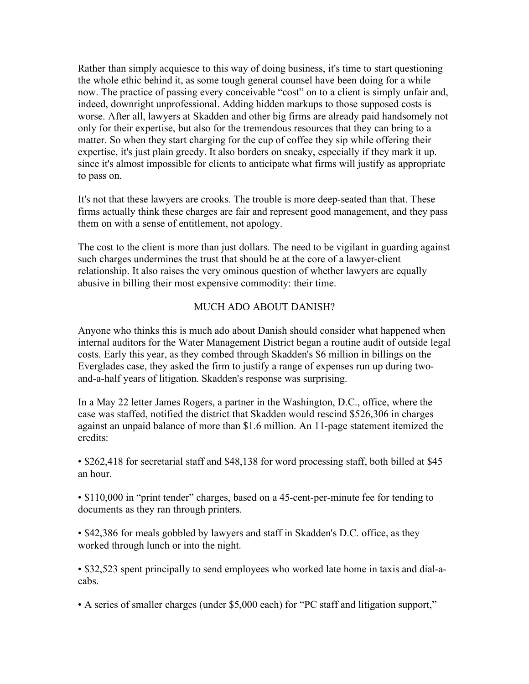Rather than simply acquiesce to this way of doing business, it's time to start questioning the whole ethic behind it, as some tough general counsel have been doing for a while now. The practice of passing every conceivable "cost" on to a client is simply unfair and, indeed, downright unprofessional. Adding hidden markups to those supposed costs is worse. After all, lawyers at Skadden and other big firms are already paid handsomely not only for their expertise, but also for the tremendous resources that they can bring to a matter. So when they start charging for the cup of coffee they sip while offering their expertise, it's just plain greedy. It also borders on sneaky, especially if they mark it up. since it's almost impossible for clients to anticipate what firms will justify as appropriate to pass on.

It's not that these lawyers are crooks. The trouble is more deep-seated than that. These firms actually think these charges are fair and represent good management, and they pass them on with a sense of entitlement, not apology.

The cost to the client is more than just dollars. The need to be vigilant in guarding against such charges undermines the trust that should be at the core of a lawyer-client relationship. It also raises the very ominous question of whether lawyers are equally abusive in billing their most expensive commodity: their time.

### MUCH ADO ABOUT DANISH?

Anyone who thinks this is much ado about Danish should consider what happened when internal auditors for the Water Management District began a routine audit of outside legal costs. Early this year, as they combed through Skadden's \$6 million in billings on the Everglades case, they asked the firm to justify a range of expenses run up during twoand-a-half years of litigation. Skadden's response was surprising.

In a May 22 letter James Rogers, a partner in the Washington, D.C., office, where the case was staffed, notified the district that Skadden would rescind \$526,306 in charges against an unpaid balance of more than \$1.6 million. An 11-page statement itemized the credits:

• \$262,418 for secretarial staff and \$48,138 for word processing staff, both billed at \$45 an hour.

• \$110,000 in "print tender" charges, based on a 45-cent-per-minute fee for tending to documents as they ran through printers.

• \$42,386 for meals gobbled by lawyers and staff in Skadden's D.C. office, as they worked through lunch or into the night.

• \$32,523 spent principally to send employees who worked late home in taxis and dial-acabs.

• A series of smaller charges (under \$5,000 each) for "PC staff and litigation support,"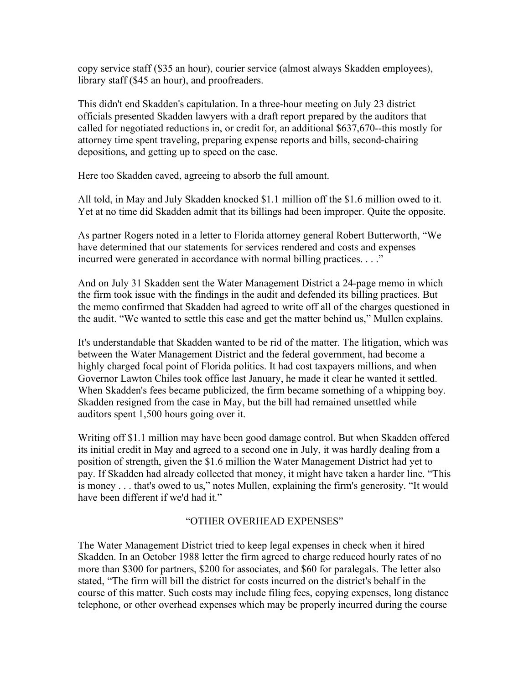copy service staff (\$35 an hour), courier service (almost always Skadden employees), library staff (\$45 an hour), and proofreaders.

This didn't end Skadden's capitulation. In a three-hour meeting on July 23 district officials presented Skadden lawyers with a draft report prepared by the auditors that called for negotiated reductions in, or credit for, an additional \$637,670--this mostly for attorney time spent traveling, preparing expense reports and bills, second-chairing depositions, and getting up to speed on the case.

Here too Skadden caved, agreeing to absorb the full amount.

All told, in May and July Skadden knocked \$1.1 million off the \$1.6 million owed to it. Yet at no time did Skadden admit that its billings had been improper. Quite the opposite.

As partner Rogers noted in a letter to Florida attorney general Robert Butterworth, "We have determined that our statements for services rendered and costs and expenses incurred were generated in accordance with normal billing practices. . . ."

And on July 31 Skadden sent the Water Management District a 24-page memo in which the firm took issue with the findings in the audit and defended its billing practices. But the memo confirmed that Skadden had agreed to write off all of the charges questioned in the audit. "We wanted to settle this case and get the matter behind us," Mullen explains.

It's understandable that Skadden wanted to be rid of the matter. The litigation, which was between the Water Management District and the federal government, had become a highly charged focal point of Florida politics. It had cost taxpayers millions, and when Governor Lawton Chiles took office last January, he made it clear he wanted it settled. When Skadden's fees became publicized, the firm became something of a whipping boy. Skadden resigned from the case in May, but the bill had remained unsettled while auditors spent 1,500 hours going over it.

Writing off \$1.1 million may have been good damage control. But when Skadden offered its initial credit in May and agreed to a second one in July, it was hardly dealing from a position of strength, given the \$1.6 million the Water Management District had yet to pay. If Skadden had already collected that money, it might have taken a harder line. "This is money . . . that's owed to us," notes Mullen, explaining the firm's generosity. "It would have been different if we'd had it."

#### "OTHER OVERHEAD EXPENSES"

The Water Management District tried to keep legal expenses in check when it hired Skadden. In an October 1988 letter the firm agreed to charge reduced hourly rates of no more than \$300 for partners, \$200 for associates, and \$60 for paralegals. The letter also stated, "The firm will bill the district for costs incurred on the district's behalf in the course of this matter. Such costs may include filing fees, copying expenses, long distance telephone, or other overhead expenses which may be properly incurred during the course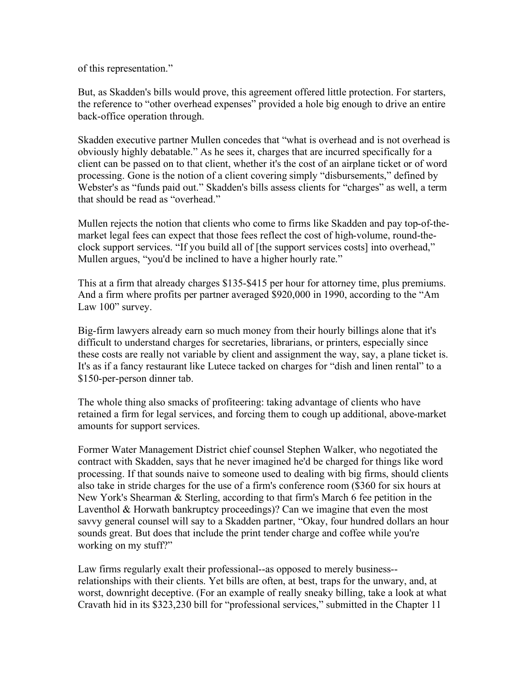of this representation."

But, as Skadden's bills would prove, this agreement offered little protection. For starters, the reference to "other overhead expenses" provided a hole big enough to drive an entire back-office operation through.

Skadden executive partner Mullen concedes that "what is overhead and is not overhead is obviously highly debatable." As he sees it, charges that are incurred specifically for a client can be passed on to that client, whether it's the cost of an airplane ticket or of word processing. Gone is the notion of a client covering simply "disbursements," defined by Webster's as "funds paid out." Skadden's bills assess clients for "charges" as well, a term that should be read as "overhead."

Mullen rejects the notion that clients who come to firms like Skadden and pay top-of-themarket legal fees can expect that those fees reflect the cost of high-volume, round-theclock support services. "If you build all of [the support services costs] into overhead," Mullen argues, "you'd be inclined to have a higher hourly rate."

This at a firm that already charges \$135-\$415 per hour for attorney time, plus premiums. And a firm where profits per partner averaged \$920,000 in 1990, according to the "Am Law 100" survey.

Big-firm lawyers already earn so much money from their hourly billings alone that it's difficult to understand charges for secretaries, librarians, or printers, especially since these costs are really not variable by client and assignment the way, say, a plane ticket is. It's as if a fancy restaurant like Lutece tacked on charges for "dish and linen rental" to a \$150-per-person dinner tab.

The whole thing also smacks of profiteering: taking advantage of clients who have retained a firm for legal services, and forcing them to cough up additional, above-market amounts for support services.

Former Water Management District chief counsel Stephen Walker, who negotiated the contract with Skadden, says that he never imagined he'd be charged for things like word processing. If that sounds naive to someone used to dealing with big firms, should clients also take in stride charges for the use of a firm's conference room (\$360 for six hours at New York's Shearman & Sterling, according to that firm's March 6 fee petition in the Laventhol & Horwath bankruptcy proceedings)? Can we imagine that even the most savvy general counsel will say to a Skadden partner, "Okay, four hundred dollars an hour sounds great. But does that include the print tender charge and coffee while you're working on my stuff?"

Law firms regularly exalt their professional--as opposed to merely business- relationships with their clients. Yet bills are often, at best, traps for the unwary, and, at worst, downright deceptive. (For an example of really sneaky billing, take a look at what Cravath hid in its \$323,230 bill for "professional services," submitted in the Chapter 11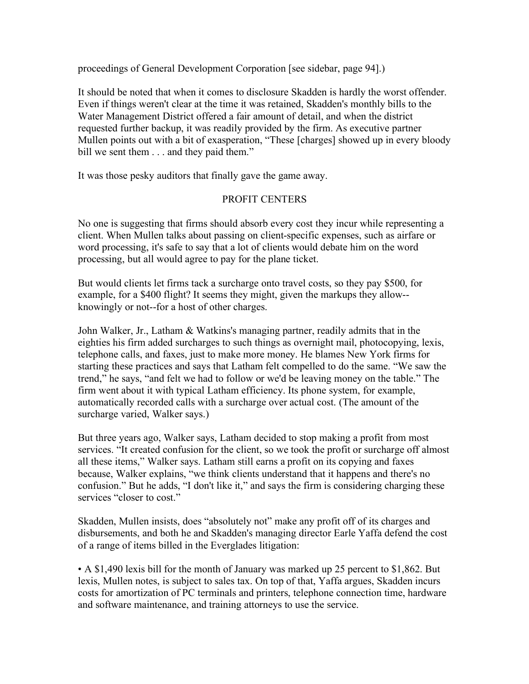proceedings of General Development Corporation [see sidebar, page 94].)

It should be noted that when it comes to disclosure Skadden is hardly the worst offender. Even if things weren't clear at the time it was retained, Skadden's monthly bills to the Water Management District offered a fair amount of detail, and when the district requested further backup, it was readily provided by the firm. As executive partner Mullen points out with a bit of exasperation, "These [charges] showed up in every bloody bill we sent them  $\ldots$  and they paid them."

It was those pesky auditors that finally gave the game away.

# PROFIT CENTERS

No one is suggesting that firms should absorb every cost they incur while representing a client. When Mullen talks about passing on client-specific expenses, such as airfare or word processing, it's safe to say that a lot of clients would debate him on the word processing, but all would agree to pay for the plane ticket.

But would clients let firms tack a surcharge onto travel costs, so they pay \$500, for example, for a \$400 flight? It seems they might, given the markups they allow- knowingly or not--for a host of other charges.

John Walker, Jr., Latham & Watkins's managing partner, readily admits that in the eighties his firm added surcharges to such things as overnight mail, photocopying, lexis, telephone calls, and faxes, just to make more money. He blames New York firms for starting these practices and says that Latham felt compelled to do the same. "We saw the trend," he says, "and felt we had to follow or we'd be leaving money on the table." The firm went about it with typical Latham efficiency. Its phone system, for example, automatically recorded calls with a surcharge over actual cost. (The amount of the surcharge varied, Walker says.)

But three years ago, Walker says, Latham decided to stop making a profit from most services. "It created confusion for the client, so we took the profit or surcharge off almost all these items," Walker says. Latham still earns a profit on its copying and faxes because, Walker explains, "we think clients understand that it happens and there's no confusion." But he adds, "I don't like it," and says the firm is considering charging these services "closer to cost."

Skadden, Mullen insists, does "absolutely not" make any profit off of its charges and disbursements, and both he and Skadden's managing director Earle Yaffa defend the cost of a range of items billed in the Everglades litigation:

• A \$1,490 lexis bill for the month of January was marked up 25 percent to \$1,862. But lexis, Mullen notes, is subject to sales tax. On top of that, Yaffa argues, Skadden incurs costs for amortization of PC terminals and printers, telephone connection time, hardware and software maintenance, and training attorneys to use the service.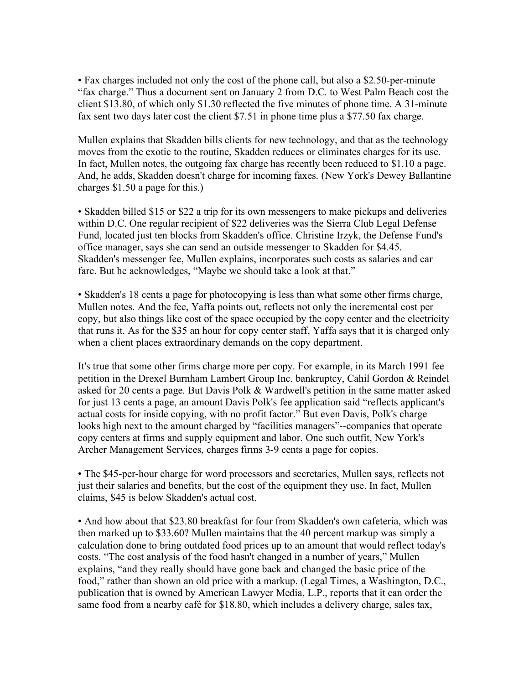• Fax charges included not only the cost of the phone call, but also a \$2.50-per-minute "fax charge." Thus a document sent on January 2 from D.C. to West Palm Beach cost the client \$13.80, of which only \$1.30 reflected the five minutes of phone time. A 31-minute fax sent two days later cost the client \$7.51 in phone time plus a \$77.50 fax charge.

Mullen explains that Skadden bills clients for new technology, and that as the technology moves from the exotic to the routine, Skadden reduces or eliminates charges for its use. In fact, Mullen notes, the outgoing fax charge has recently been reduced to \$1.10 a page. And, he adds, Skadden doesn't charge for incoming faxes. (New York's Dewey Ballantine charges \$1.50 a page for this.)

• Skadden billed \$15 or \$22 a trip for its own messengers to make pickups and deliveries within D.C. One regular recipient of \$22 deliveries was the Sierra Club Legal Defense Fund, located just ten blocks from Skadden's office. Christine Irzyk, the Defense Fund's office manager, says she can send an outside messenger to Skadden for \$4.45. Skadden's messenger fee, Mullen explains, incorporates such costs as salaries and car fare. But he acknowledges, "Maybe we should take a look at that."

• Skadden's 18 cents a page for photocopying is less than what some other firms charge, Mullen notes. And the fee, Yaffa points out, reflects not only the incremental cost per copy, but also things like cost of the space occupied by the copy center and the electricity that runs it. As for the \$35 an hour for copy center staff, Yaffa says that it is charged only when a client places extraordinary demands on the copy department.

It's true that some other firms charge more per copy. For example, in its March 1991 fee petition in the Drexel Burnham Lambert Group Inc. bankruptcy, Cahil Gordon & Reindel asked for 20 cents a page. But Davis Polk & Wardwell's petition in the same matter asked for just 13 cents a page, an amount Davis Polk's fee application said "reflects applicant's actual costs for inside copying, with no profit factor." But even Davis, Polk's charge looks high next to the amount charged by "facilities managers"--companies that operate copy centers at firms and supply equipment and labor. One such outfit, New York's Archer Management Services, charges firms 3-9 cents a page for copies.

• The \$45-per-hour charge for word processors and secretaries, Mullen says, reflects not just their salaries and benefits, but the cost of the equipment they use. In fact, Mullen claims, \$45 is below Skadden's actual cost.

• And how about that \$23.80 breakfast for four from Skadden's own cafeteria, which was then marked up to \$33.60? Mullen maintains that the 40 percent markup was simply a calculation done to bring outdated food prices up to an amount that would reflect today's costs. "The cost analysis of the food hasn't changed in a number of years," Mullen explains, "and they really should have gone back and changed the basic price of the food," rather than shown an old price with a markup. (Legal Times, a Washington, D.C., publication that is owned by American Lawyer Media, L.P., reports that it can order the same food from a nearby café for \$18.80, which includes a delivery charge, sales tax,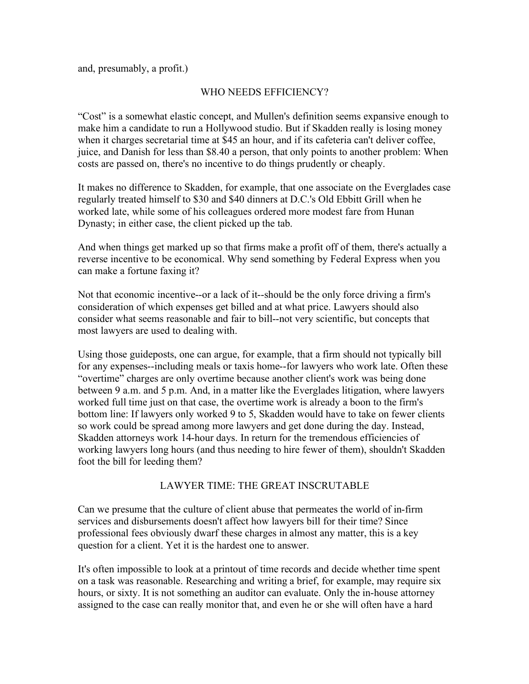and, presumably, a profit.)

### WHO NEEDS EFFICIENCY?

"Cost" is a somewhat elastic concept, and Mullen's definition seems expansive enough to make him a candidate to run a Hollywood studio. But if Skadden really is losing money when it charges secretarial time at \$45 an hour, and if its cafeteria can't deliver coffee, juice, and Danish for less than \$8.40 a person, that only points to another problem: When costs are passed on, there's no incentive to do things prudently or cheaply.

It makes no difference to Skadden, for example, that one associate on the Everglades case regularly treated himself to \$30 and \$40 dinners at D.C.'s Old Ebbitt Grill when he worked late, while some of his colleagues ordered more modest fare from Hunan Dynasty; in either case, the client picked up the tab.

And when things get marked up so that firms make a profit off of them, there's actually a reverse incentive to be economical. Why send something by Federal Express when you can make a fortune faxing it?

Not that economic incentive--or a lack of it--should be the only force driving a firm's consideration of which expenses get billed and at what price. Lawyers should also consider what seems reasonable and fair to bill--not very scientific, but concepts that most lawyers are used to dealing with.

Using those guideposts, one can argue, for example, that a firm should not typically bill for any expenses--including meals or taxis home--for lawyers who work late. Often these "overtime" charges are only overtime because another client's work was being done between 9 a.m. and 5 p.m. And, in a matter like the Everglades litigation, where lawyers worked full time just on that case, the overtime work is already a boon to the firm's bottom line: If lawyers only worked 9 to 5, Skadden would have to take on fewer clients so work could be spread among more lawyers and get done during the day. Instead, Skadden attorneys work 14-hour days. In return for the tremendous efficiencies of working lawyers long hours (and thus needing to hire fewer of them), shouldn't Skadden foot the bill for leeding them?

#### LAWYER TIME: THE GREAT INSCRUTABLE

Can we presume that the culture of client abuse that permeates the world of in-firm services and disbursements doesn't affect how lawyers bill for their time? Since professional fees obviously dwarf these charges in almost any matter, this is a key question for a client. Yet it is the hardest one to answer.

It's often impossible to look at a printout of time records and decide whether time spent on a task was reasonable. Researching and writing a brief, for example, may require six hours, or sixty. It is not something an auditor can evaluate. Only the in-house attorney assigned to the case can really monitor that, and even he or she will often have a hard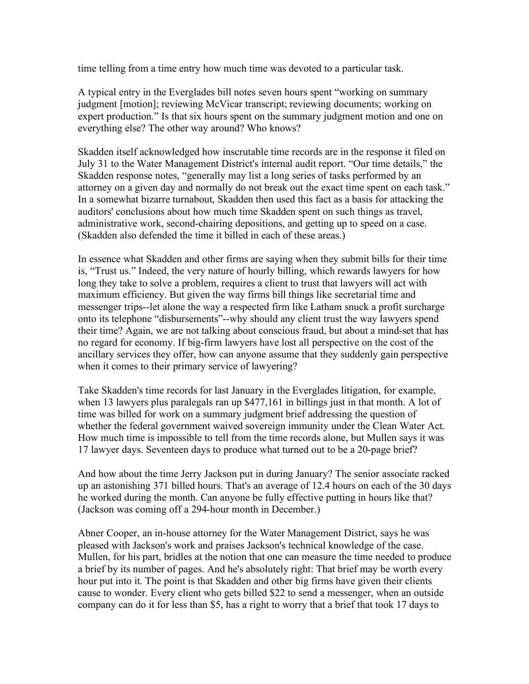time telling from a time entry how much time was devoted to a particular task.

A typical entry in the Everglades bill notes seven hours spent "working on summary judgment [motion]; reviewing McVicar transcript; reviewing documents; working on expert production." Is that six hours spent on the summary judgment motion and one on everything else? The other way around? Who knows?

Skadden itself acknowledged how inscrutable time records are in the response it filed on July 31 to the Water Management District's internal audit report. "Our time details," the Skadden response notes, "generally may list a long series of tasks performed by an attorney on a given day and normally do not break out the exact time spent on each task." In a somewhat bizarre turnabout, Skadden then used this fact as a basis for attacking the auditors' conclusions about how much time Skadden spent on such things as travel, administrative work, second-chairing depositions, and getting up to speed on a case. (Skadden also defended the time it billed in each of these areas.)

In essence what Skadden and other firms are saying when they submit bills for their time is, "Trust us." Indeed, the very nature of hourly billing, which rewards lawyers for how long they take to solve a problem, requires a client to trust that lawyers will act with maximum efficiency. But given the way firms bill things like secretarial time and messenger trips--let alone the way a respected firm like Latham snuck a profit surcharge onto its telephone "disbursements"--why should any client trust the way lawyers spend their time? Again, we are not talking about conscious fraud, but about a mind-set that has no regard for economy. If big-firm lawyers have lost all perspective on the cost of the ancillary services they offer, how can anyone assume that they suddenly gain perspective when it comes to their primary service of lawyering?

Take Skadden's time records for last January in the Everglades litigation, for example, when 13 lawyers plus paralegals ran up \$477,161 in billings just in that month. A lot of time was billed for work on a summary judgment brief addressing the question of whether the federal government waived sovereign immunity under the Clean Water Act. How much time is impossible to tell from the time records alone, but Mullen says it was 17 lawyer days. Seventeen days to produce what turned out to be a 20-page brief?

And how about the time Jerry Jackson put in during January? The senior associate racked up an astonishing 371 billed hours. That's an average of 12.4 hours on each of the 30 days he worked during the month. Can anyone be fully effective putting in hours like that? (Jackson was coming off a 294-hour month in December.)

Abner Cooper, an in-house attorney for the Water Management District, says he was pleased with Jackson's work and praises Jackson's technical knowledge of the case. Mullen, for his part, bridles at the notion that one can measure the time needed to produce a brief by its number of pages. And he's absolutely right: That brief may be worth every hour put into it. The point is that Skadden and other big firms have given their clients cause to wonder. Every client who gets billed \$22 to send a messenger, when an outside company can do it for less than \$5, has a right to worry that a brief that took 17 days to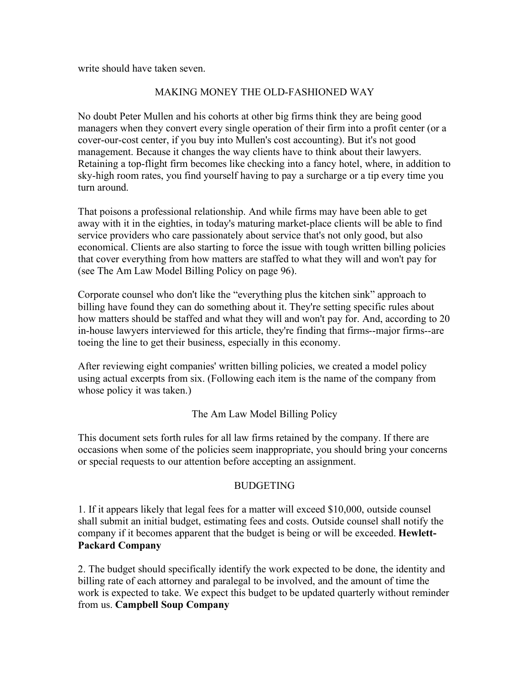write should have taken seven.

# MAKING MONEY THE OLD-FASHIONED WAY

No doubt Peter Mullen and his cohorts at other big firms think they are being good managers when they convert every single operation of their firm into a profit center (or a cover-our-cost center, if you buy into Mullen's cost accounting). But it's not good management. Because it changes the way clients have to think about their lawyers. Retaining a top-flight firm becomes like checking into a fancy hotel, where, in addition to sky-high room rates, you find yourself having to pay a surcharge or a tip every time you turn around.

That poisons a professional relationship. And while firms may have been able to get away with it in the eighties, in today's maturing market-place clients will be able to find service providers who care passionately about service that's not only good, but also economical. Clients are also starting to force the issue with tough written billing policies that cover everything from how matters are staffed to what they will and won't pay for (see The Am Law Model Billing Policy on page 96).

Corporate counsel who don't like the "everything plus the kitchen sink" approach to billing have found they can do something about it. They're setting specific rules about how matters should be staffed and what they will and won't pay for. And, according to 20 in-house lawyers interviewed for this article, they're finding that firms--major firms--are toeing the line to get their business, especially in this economy.

After reviewing eight companies' written billing policies, we created a model policy using actual excerpts from six. (Following each item is the name of the company from whose policy it was taken.)

# The Am Law Model Billing Policy

This document sets forth rules for all law firms retained by the company. If there are occasions when some of the policies seem inappropriate, you should bring your concerns or special requests to our attention before accepting an assignment.

# BUDGETING

1. If it appears likely that legal fees for a matter will exceed \$10,000, outside counsel shall submit an initial budget, estimating fees and costs. Outside counsel shall notify the company if it becomes apparent that the budget is being or will be exceeded. **Hewlett-Packard Company**

2. The budget should specifically identify the work expected to be done, the identity and billing rate of each attorney and paralegal to be involved, and the amount of time the work is expected to take. We expect this budget to be updated quarterly without reminder from us. **Campbell Soup Company**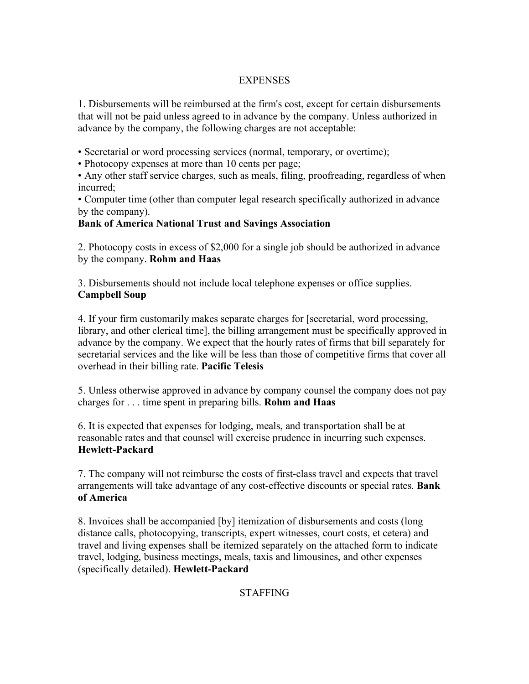# **EXPENSES**

1. Disbursements will be reimbursed at the firm's cost, except for certain disbursements that will not be paid unless agreed to in advance by the company. Unless authorized in advance by the company, the following charges are not acceptable:

• Secretarial or word processing services (normal, temporary, or overtime);

• Photocopy expenses at more than 10 cents per page;

• Any other staff service charges, such as meals, filing, proofreading, regardless of when incurred;

• Computer time (other than computer legal research specifically authorized in advance by the company).

# **Bank of America National Trust and Savings Association**

2. Photocopy costs in excess of \$2,000 for a single job should be authorized in advance by the company. **Rohm and Haas**

3. Disbursements should not include local telephone expenses or office supplies. **Campbell Soup**

4. If your firm customarily makes separate charges for [secretarial, word processing, library, and other clerical time], the billing arrangement must be specifically approved in advance by the company. We expect that the hourly rates of firms that bill separately for secretarial services and the like will be less than those of competitive firms that cover all overhead in their billing rate. **Pacific Telesis**

5. Unless otherwise approved in advance by company counsel the company does not pay charges for . . . time spent in preparing bills. **Rohm and Haas**

6. It is expected that expenses for lodging, meals, and transportation shall be at reasonable rates and that counsel will exercise prudence in incurring such expenses. **Hewlett-Packard**

7. The company will not reimburse the costs of first-class travel and expects that travel arrangements will take advantage of any cost-effective discounts or special rates. **Bank of America**

8. Invoices shall be accompanied [by] itemization of disbursements and costs (long distance calls, photocopying, transcripts, expert witnesses, court costs, et cetera) and travel and living expenses shall be itemized separately on the attached form to indicate travel, lodging, business meetings, meals, taxis and limousines, and other expenses (specifically detailed). **Hewlett-Packard**

# STAFFING